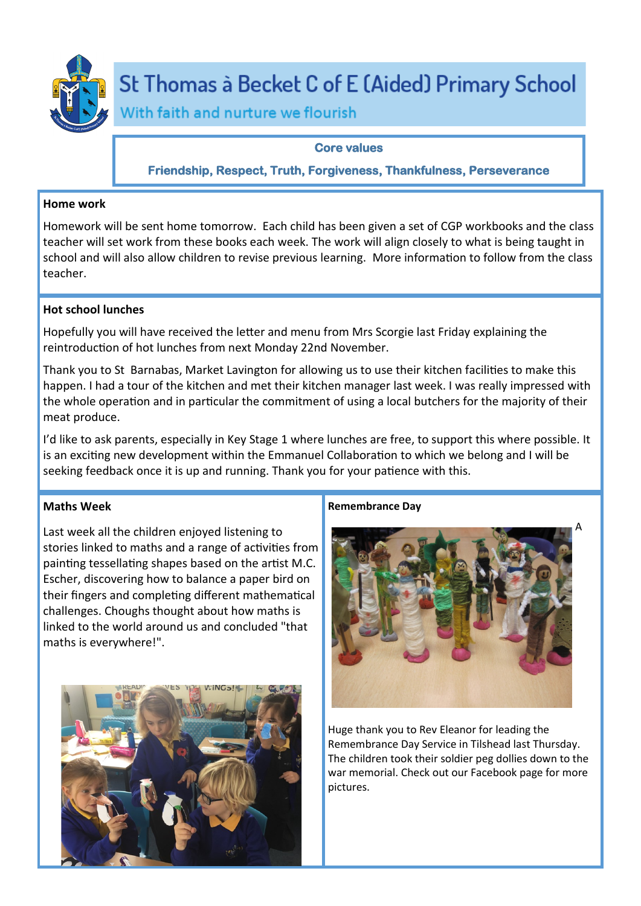

# St Thomas à Becket C of E (Aided) Primary School

With faith and nurture we flourish

## **Core values**

**Friendship, Respect, Truth, Forgiveness, Thankfulness, Perseverance** 

## **Home work**

Homework will be sent home tomorrow. Each child has been given a set of CGP workbooks and the class teacher will set work from these books each week. The work will align closely to what is being taught in school and will also allow children to revise previous learning. More information to follow from the class teacher.

# **Hot school lunches**

Hopefully you will have received the letter and menu from Mrs Scorgie last Friday explaining the reintroduction of hot lunches from next Monday 22nd November.

Thank you to St Barnabas, Market Lavington for allowing us to use their kitchen facilities to make this happen. I had a tour of the kitchen and met their kitchen manager last week. I was really impressed with the whole operation and in particular the commitment of using a local butchers for the majority of their meat produce.

I'd like to ask parents, especially in Key Stage 1 where lunches are free, to support this where possible. It is an exciting new development within the Emmanuel Collaboration to which we belong and I will be seeking feedback once it is up and running. Thank you for your patience with this.

# **Maths Week**

Last week all the children enjoyed listening to stories linked to maths and a range of activities from painting tessellating shapes based on the artist M.C. Escher, discovering how to balance a paper bird on their fingers and completing different mathematical challenges. Choughs thought about how maths is linked to the world around us and concluded "that maths is everywhere!".



# **Remembrance Day**



Huge thank you to Rev Eleanor for leading the Remembrance Day Service in Tilshead last Thursday. The children took their soldier peg dollies down to the war memorial. Check out our Facebook page for more pictures.